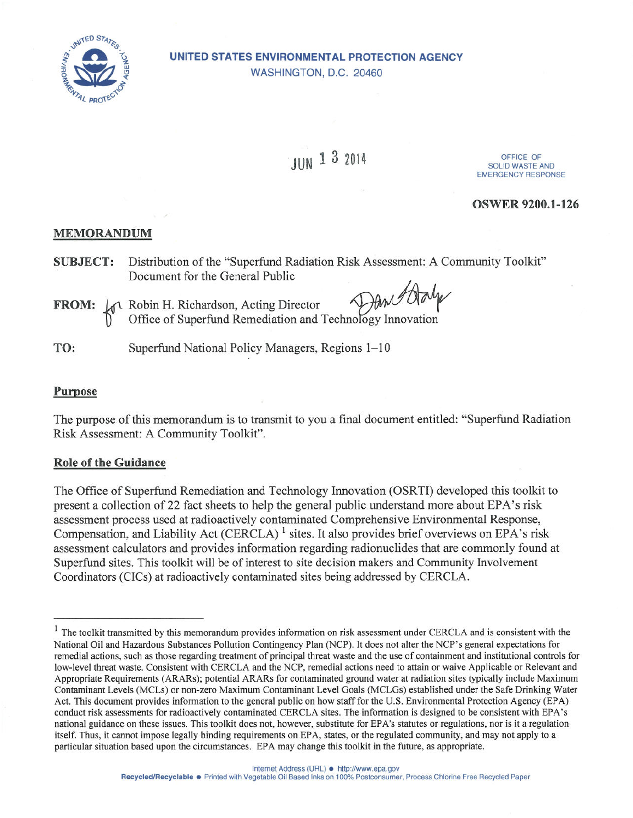

## UNITED STATES ENVIRONMENTAL PROTECTION AGENCY WASHINGTON, D.C. 20460

# JUN 1 3 2014

OFFICE OF **SOLID WASTE AND EMERGENCY RESPONSE** 

### **OSWER 9200.1-126**

## **MEMORANDUM**

- Distribution of the "Superfund Radiation Risk Assessment: A Community Toolkit" **SUBJECT:** Document for the General Public
- **FROM:**  $\begin{bmatrix} \downarrow \uparrow \downarrow \mathbb{R} \\ \downarrow \uparrow \downarrow \end{bmatrix}$  Robin H. Richardson, Acting Director All And U Children and Technology Innovation

Superfund National Policy Managers, Regions 1-10 TO:

#### **Purpose**

The purpose of this memorandum is to transmit to you a final document entitled: "Superfund Radiation Risk Assessment: A Community Toolkit".

#### **Role of the Guidance**

The Office of Superfund Remediation and Technology Innovation (OSRTI) developed this toolkit to present a collection of 22 fact sheets to help the general public understand more about EPA's risk assessment process used at radioactively contaminated Comprehensive Environmental Response, Compensation, and Liability Act (CERCLA)<sup>1</sup> sites. It also provides brief overviews on EPA's risk assessment calculators and provides information regarding radionuclides that are commonly found at Superfund sites. This toolkit will be of interest to site decision makers and Community Involvement Coordinators (CICs) at radioactively contaminated sites being addressed by CERCLA.

<sup>&</sup>lt;sup>1</sup> The toolkit transmitted by this memorandum provides information on risk assessment under CERCLA and is consistent with the National Oil and Hazardous Substances Pollution Contingency Plan (NCP). It does not alter the NCP's general expectations for remedial actions, such as those regarding treatment of principal threat waste and the use of containment and institutional controls for low-level threat waste. Consistent with CERCLA and the NCP, remedial actions need to attain or waive Applicable or Relevant and Appropriate Requirements (ARARs); potential ARARs for contaminated ground water at radiation sites typically include Maximum Contaminant Levels (MCLs) or non-zero Maximum Contaminant Level Goals (MCLGs) established under the Safe Drinking Water Act. This document provides information to the general public on how staff for the U.S. Environmental Protection Agency (EPA) conduct risk assessments for radioactively contaminated CERCLA sites. The information is designed to be consistent with EPA's national guidance on these issues. This toolkit does not, however, substitute for EPA's statutes or regulations, nor is it a regulation itself. Thus, it cannot impose legally binding requirements on EPA, states, or the regulated community, and may not apply to a particular situation based upon the circumstances. EPA may change this toolkit in the future, as appropriate.